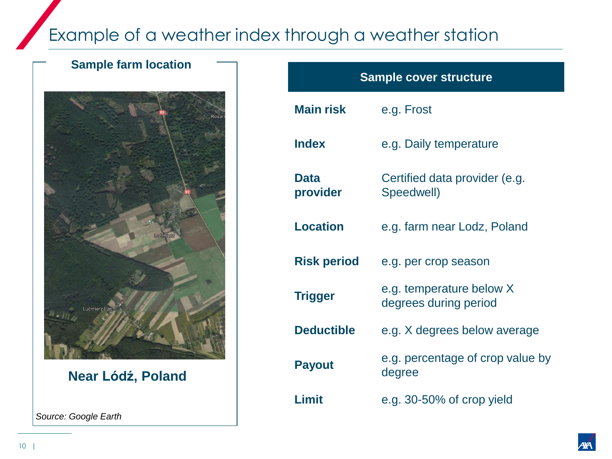# Example of a weather index through a weather station

## **Sample farm location**



**Near Lódź, Poland**

*Source: Google Earth*



| <b>Sample cover structure</b> |                                                   |  |  |
|-------------------------------|---------------------------------------------------|--|--|
| <b>Main risk</b>              | e.g. Frost                                        |  |  |
| <b>Index</b>                  | e.g. Daily temperature                            |  |  |
| <b>Data</b><br>provider       | Certified data provider (e.g.<br>Speedwell)       |  |  |
| <b>Location</b>               | e.g. farm near Lodz, Poland                       |  |  |
| <b>Risk period</b>            | e.g. per crop season                              |  |  |
| <b>Trigger</b>                | e.g. temperature below X<br>degrees during period |  |  |
| <b>Deductible</b>             | e.g. X degrees below average                      |  |  |
| <b>Payout</b>                 | e.g. percentage of crop value by<br>degree        |  |  |
| Limit                         | e.g. 30-50% of crop yield                         |  |  |

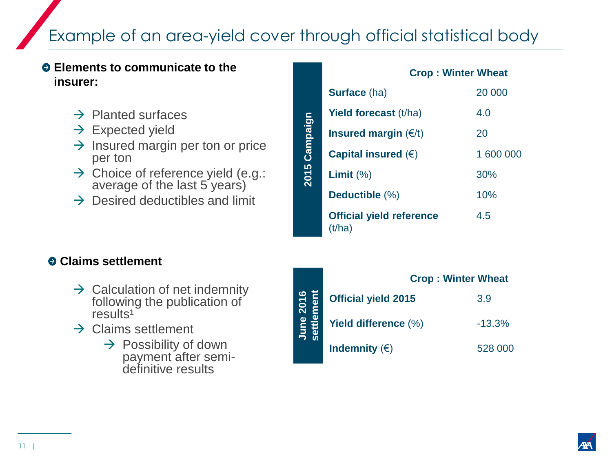# Example of an area-yield cover through official statistical body

#### **Elements to communicate to the insurer:**

- $\rightarrow$  Planted surfaces
- $\rightarrow$  Expected yield
- $\rightarrow$  Insured margin per ton or price per ton
- $\rightarrow$  Choice of reference yield (e.g.: average of the last 5 years)
- $\rightarrow$  Desired deductibles and limit

|               | <b>Crop: Winter Wheat</b>                 |           |  |
|---------------|-------------------------------------------|-----------|--|
| 2015 Campaign | <b>Surface</b> (ha)                       | 20 000    |  |
|               | <b>Yield forecast (t/ha)</b>              | 4.0       |  |
|               | Insured margin $(\epsilon/t)$             | 20        |  |
|               | Capital insured $(\epsilon)$              | 1 600 000 |  |
|               | Limit $(\%)$                              | 30%       |  |
|               | Deductible (%)                            | 10%       |  |
|               | <b>Official yield reference</b><br>(t/ha) | 4.5       |  |

### **Claims settlement**

- $\rightarrow$  Calculation of net indemnity following the publication of  $results<sup>1</sup>$
- $\rightarrow$  Claims settlement
	- $\rightarrow$  Possibility of down payment after semidefinitive results

|              | <b>Crop: Winter Wheat</b>  |          |  |
|--------------|----------------------------|----------|--|
| 2016<br>ment | <b>Official yield 2015</b> | 3.9      |  |
| Φ<br>June    | Yield difference (%)       | $-13.3%$ |  |
|              | Indemnity $(\epsilon)$     | 528 000  |  |



11 |